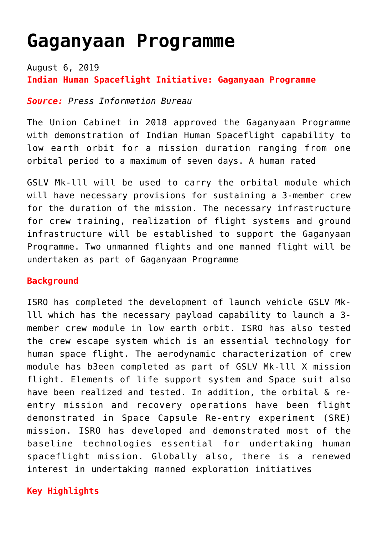# **[Gaganyaan Programme](https://journalsofindia.com/gaganyaan-programme/)**

August 6, 2019 **Indian Human Spaceflight Initiative: Gaganyaan Programme**

#### *Source: Press Information Bureau*

The Union Cabinet in 2018 approved the Gaganyaan Programme with demonstration of Indian Human Spaceflight capability to low earth orbit for a mission duration ranging from one orbital period to a maximum of seven days. A human rated

GSLV Mk-lll will be used to carry the orbital module which will have necessary provisions for sustaining a 3-member crew for the duration of the mission. The necessary infrastructure for crew training, realization of flight systems and ground infrastructure will be established to support the Gaganyaan Programme. Two unmanned flights and one manned flight will be undertaken as part of Gaganyaan Programme

#### **Background**

ISRO has completed the development of launch vehicle GSLV Mklll which has the necessary payload capability to launch a 3 member crew module in low earth orbit. ISRO has also tested the crew escape system which is an essential technology for human space flight. The aerodynamic characterization of crew module has b3een completed as part of GSLV Mk-lll X mission flight. Elements of life support system and Space suit also have been realized and tested. In addition, the orbital & reentry mission and recovery operations have been flight demonstrated in Space Capsule Re-entry experiment (SRE) mission. ISRO has developed and demonstrated most of the baseline technologies essential for undertaking human spaceflight mission. Globally also, there is a renewed interest in undertaking manned exploration initiatives

### **Key Highlights**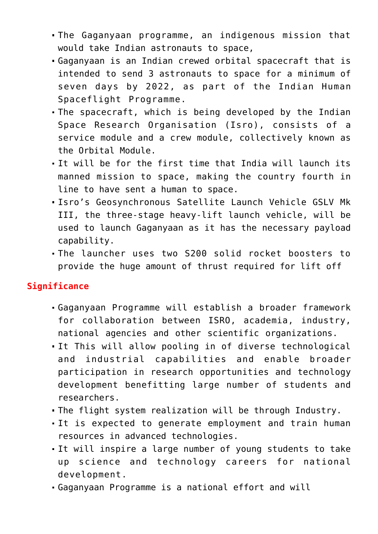- The Gaganyaan programme, an indigenous mission that would take Indian astronauts to space,
- Gaganyaan is an Indian crewed orbital spacecraft that is intended to send 3 astronauts to space for a minimum of seven days by 2022, as part of the Indian Human Spaceflight Programme.
- The spacecraft, which is being developed by the Indian Space Research Organisation (Isro), consists of a service module and a crew module, collectively known as the Orbital Module.
- It will be for the first time that India will launch its manned mission to space, making the country fourth in line to have sent a human to space.
- Isro's Geosynchronous Satellite Launch Vehicle GSLV Mk III, the three-stage heavy-lift launch vehicle, will be used to launch Gaganyaan as it has the necessary payload capability.
- The launcher uses two S200 solid rocket boosters to provide the huge amount of thrust required for lift off

### **Significance**

- Gaganyaan Programme will establish a broader framework for collaboration between ISRO, academia, industry, national agencies and other scientific organizations.
- It This will allow pooling in of diverse technological and industrial capabilities and enable broader participation in research opportunities and technology development benefitting large number of students and researchers.
- The flight system realization will be through Industry.
- It is expected to generate employment and train human resources in advanced technologies.
- It will inspire a large number of young students to take up science and technology careers for national development.
- Gaganyaan Programme is a national effort and will